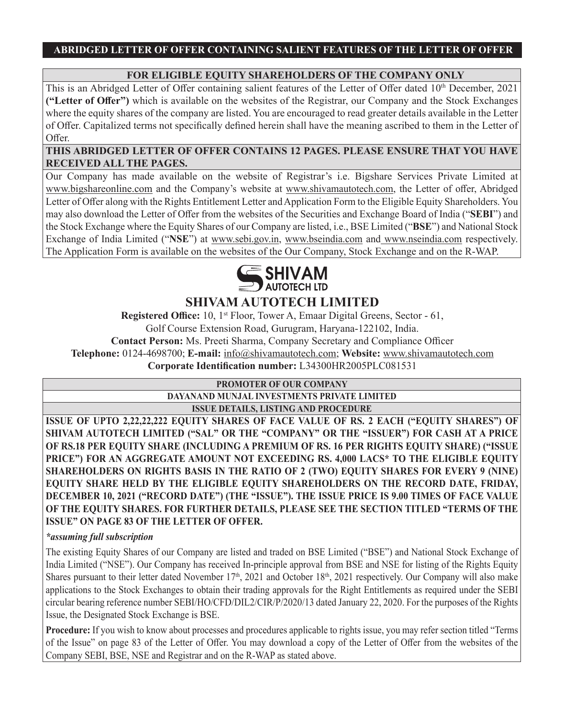## **FOR ELIGIBLE EQUITY SHAREHOLDERS OF THE COMPANY ONLY**

This is an Abridged Letter of Offer containing salient features of the Letter of Offer dated  $10<sup>th</sup>$  December, 2021 **("Letter of Offer")** which is available on the websites of the Registrar, our Company and the Stock Exchanges where the equity shares of the company are listed. You are encouraged to read greater details available in the Letter of Offer. Capitalized terms not specifically defined herein shall have the meaning ascribed to them in the Letter of Offer.

**THIS ABRIDGED LETTER OF OFFER CONTAINS 12 PAGES. PLEASE ENSURE THAT YOU HAVE RECEIVED ALL THE PAGES.**

Our Company has made available on the website of Registrar's i.e. Bigshare Services Private Limited at www.bigshareonline.com and the Company's website at www.shivamautotech.com, the Letter of offer, Abridged Letter of Offer along with the Rights Entitlement Letter and Application Form to the Eligible Equity Shareholders. You may also download the Letter of Offer from the websites of the Securities and Exchange Board of India ("**SEBI**") and the Stock Exchange where the Equity Shares of our Company are listed, i.e., BSE Limited ("**BSE**") and National Stock Exchange of India Limited ("**NSE**") at www.sebi.gov.in, www.bseindia.com and www.nseindia.com respectively. The Application Form is available on the websites of the Our Company, Stock Exchange and on the R-WAP.



# **SHIVAM AUTOTECH LIMITED**

**Registered Office:** 10, 1<sup>st</sup> Floor, Tower A, Emaar Digital Greens, Sector - 61, Golf Course Extension Road, Gurugram, Haryana-122102, India. **Contact Person:** Ms. Preeti Sharma, Company Secretary and Compliance Officer **Telephone:** 0124-4698700; **E-mail:** info@shivamautotech.com; **Website:** www.shivamautotech.com **Corporate Identification number:** L34300HR2005PLC081531

## **PROMOTER OF OUR COMPANY**

## **DAYANAND MUNJAL INVESTMENTS PRIVATE LIMITED**

**ISSUE DETAILS, LISTING AND PROCEDURE**

**ISSUE OF UPTO 2,22,22,222 EQUITY SHARES OF FACE VALUE OF RS. 2 EACH ("EQUITY SHARES") OF SHIVAM AUTOTECH LIMITED ("SAL" OR THE "COMPANY" OR THE "ISSUER") FOR CASH AT A PRICE OF RS.18 PER EQUITY SHARE (INCLUDING A PREMIUM OF RS. 16 PER RIGHTS EQUITY SHARE) ("ISSUE PRICE") FOR AN AGGREGATE AMOUNT NOT EXCEEDING RS. 4,000 LACS\* TO THE ELIGIBLE EQUITY SHAREHOLDERS ON RIGHTS BASIS IN THE RATIO OF 2 (TWO) EQUITY SHARES FOR EVERY 9 (NINE) EQUITY SHARE HELD BY THE ELIGIBLE EQUITY SHAREHOLDERS ON THE RECORD DATE, FRIDAY, DECEMBER 10, 2021 ("RECORD DATE") (THE "ISSUE"). THE ISSUE PRICE IS 9.00 TIMES OF FACE VALUE OF THE EQUITY SHARES. FOR FURTHER DETAILS, PLEASE SEE THE SECTION TITLED "TERMS OF THE ISSUE" ON PAGE 83 OF THE LETTER OF OFFER.**

## *\*assuming full subscription*

The existing Equity Shares of our Company are listed and traded on BSE Limited ("BSE") and National Stock Exchange of India Limited ("NSE"). Our Company has received In-principle approval from BSE and NSE for listing of the Rights Equity Shares pursuant to their letter dated November  $17<sup>th</sup>$ , 2021 and October  $18<sup>th</sup>$ , 2021 respectively. Our Company will also make applications to the Stock Exchanges to obtain their trading approvals for the Right Entitlements as required under the SEBI circular bearing reference number SEBI/HO/CFD/DIL2/CIR/P/2020/13 dated January 22, 2020. For the purposes of the Rights Issue, the Designated Stock Exchange is BSE.

**Procedure:** If you wish to know about processes and procedures applicable to rights issue, you may refer section titled "Terms of the Issue" on page 83 of the Letter of Offer. You may download a copy of the Letter of Offer from the websites of the Company SEBI, BSE, NSE and Registrar and on the R-WAP as stated above.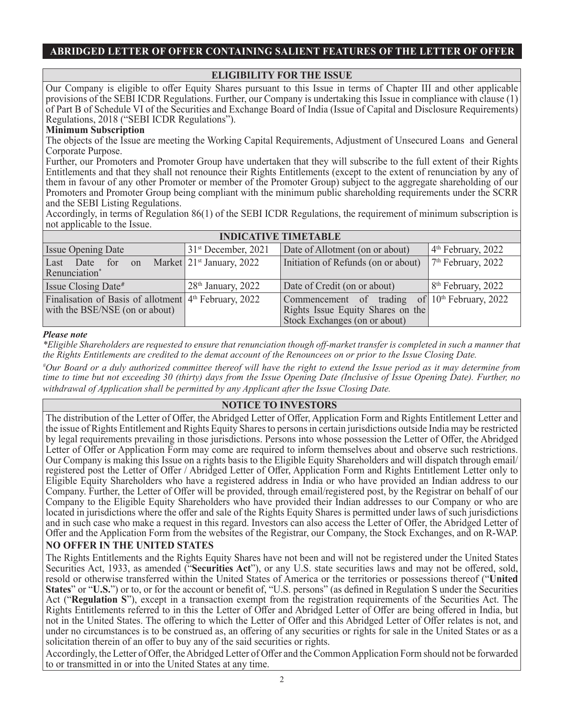## **ELIGIBILITY FOR THE ISSUE**

Our Company is eligible to offer Equity Shares pursuant to this Issue in terms of Chapter III and other applicable provisions of the SEBI ICDR Regulations. Further, our Company is undertaking this Issue in compliance with clause (1) of Part B of Schedule VI of the Securities and Exchange Board of India (Issue of Capital and Disclosure Requirements) Regulations, 2018 ("SEBI ICDR Regulations").

#### **Minimum Subscription**

The objects of the Issue are meeting the Working Capital Requirements, Adjustment of Unsecured Loans and General Corporate Purpose.

Further, our Promoters and Promoter Group have undertaken that they will subscribe to the full extent of their Rights Entitlements and that they shall not renounce their Rights Entitlements (except to the extent of renunciation by any of them in favour of any other Promoter or member of the Promoter Group) subject to the aggregate shareholding of our Promoters and Promoter Group being compliant with the minimum public shareholding requirements under the SCRR and the SEBI Listing Regulations.

Accordingly, in terms of Regulation 86(1) of the SEBI ICDR Regulations, the requirement of minimum subscription is not applicable to the Issue.

| <b>INDICATIVE TIMETABLE</b>                                                                         |                             |                                                                                                                        |                      |  |  |
|-----------------------------------------------------------------------------------------------------|-----------------------------|------------------------------------------------------------------------------------------------------------------------|----------------------|--|--|
| <b>Issue Opening Date</b>                                                                           | $31st$ December, 2021       | Date of Allotment (on or about)                                                                                        | $4th$ February, 2022 |  |  |
| Last Date for on<br>Renunciation*                                                                   | Market $21st$ January, 2022 | Initiation of Refunds (on or about)                                                                                    | $7th$ February, 2022 |  |  |
| Issue Closing Date#                                                                                 | $28th$ January, 2022        | Date of Credit (on or about)                                                                                           | $8th$ February, 2022 |  |  |
| Finalisation of Basis of allotment 4 <sup>th</sup> February, 2022<br>with the BSE/NSE (on or about) |                             | Commencement of trading of $10th$ February, 2022<br>Rights Issue Equity Shares on the<br>Stock Exchanges (on or about) |                      |  |  |

#### *Please note*

*\*Eligible Shareholders are requested to ensure that renunciation though off-market transfer is completed in such a manner that the Rights Entitlements are credited to the demat account of the Renouncees on or prior to the Issue Closing Date.*

*# Our Board or a duly authorized committee thereof will have the right to extend the Issue period as it may determine from time to time but not exceeding 30 (thirty) days from the Issue Opening Date (Inclusive of Issue Opening Date). Further, no withdrawal of Application shall be permitted by any Applicant after the Issue Closing Date.*

## **NOTICE TO INVESTORS**

The distribution of the Letter of Offer, the Abridged Letter of Offer, Application Form and Rights Entitlement Letter and the issue of Rights Entitlement and Rights Equity Shares to persons in certain jurisdictions outside India may be restricted by legal requirements prevailing in those jurisdictions. Persons into whose possession the Letter of Offer, the Abridged Letter of Offer or Application Form may come are required to inform themselves about and observe such restrictions. Our Company is making this Issue on a rights basis to the Eligible Equity Shareholders and will dispatch through email/ registered post the Letter of Offer / Abridged Letter of Offer, Application Form and Rights Entitlement Letter only to Eligible Equity Shareholders who have a registered address in India or who have provided an Indian address to our Company. Further, the Letter of Offer will be provided, through email/registered post, by the Registrar on behalf of our Company to the Eligible Equity Shareholders who have provided their Indian addresses to our Company or who are located in jurisdictions where the offer and sale of the Rights Equity Shares is permitted under laws of such jurisdictions and in such case who make a request in this regard. Investors can also access the Letter of Offer, the Abridged Letter of Offer and the Application Form from the websites of the Registrar, our Company, the Stock Exchanges, and on R-WAP.

## **NO OFFER IN THE UNITED STATES**

The Rights Entitlements and the Rights Equity Shares have not been and will not be registered under the United States Securities Act, 1933, as amended ("**Securities Act**"), or any U.S. state securities laws and may not be offered, sold, resold or otherwise transferred within the United States of America or the territories or possessions thereof ("**United States**" or "**U.S.**") or to, or for the account or benefit of, "U.S. persons" (as defined in Regulation S under the Securities Act ("**Regulation S**"), except in a transaction exempt from the registration requirements of the Securities Act. The Rights Entitlements referred to in this the Letter of Offer and Abridged Letter of Offer are being offered in India, but not in the United States. The offering to which the Letter of Offer and this Abridged Letter of Offer relates is not, and under no circumstances is to be construed as, an offering of any securities or rights for sale in the United States or as a solicitation therein of an offer to buy any of the said securities or rights.

Accordingly, the Letter of Offer, the Abridged Letter of Offer and the Common Application Form should not be forwarded to or transmitted in or into the United States at any time.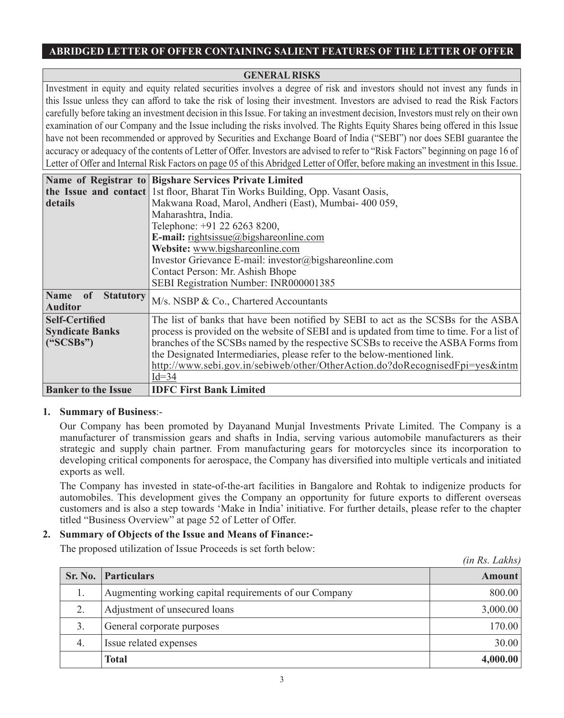## **GENERAL RISKS**

Investment in equity and equity related securities involves a degree of risk and investors should not invest any funds in this Issue unless they can afford to take the risk of losing their investment. Investors are advised to read the Risk Factors carefully before taking an investment decision in this Issue. For taking an investment decision, Investors must rely on their own examination of our Company and the Issue including the risks involved. The Rights Equity Shares being offered in this Issue have not been recommended or approved by Securities and Exchange Board of India ("SEBI") nor does SEBI guarantee the accuracy or adequacy of the contents of Letter of Offer. Investors are advised to refer to "Risk Factors" beginning on page 16 of Letter of Offer and Internal Risk Factors on page 05 of this Abridged Letter of Offer, before making an investment in this Issue.

|                                                                    | Name of Registrar to Bigshare Services Private Limited                                     |  |  |
|--------------------------------------------------------------------|--------------------------------------------------------------------------------------------|--|--|
|                                                                    | the Issue and contact 1st floor, Bharat Tin Works Building, Opp. Vasant Oasis,             |  |  |
| details                                                            | Makwana Road, Marol, Andheri (East), Mumbai- 400 059,                                      |  |  |
|                                                                    | Maharashtra, India.                                                                        |  |  |
|                                                                    | Telephone: +91 22 6263 8200,                                                               |  |  |
|                                                                    | E-mail: $rights issue@bigshareonline.com$                                                  |  |  |
|                                                                    | Website: www.bigshareonline.com                                                            |  |  |
|                                                                    | Investor Grievance E-mail: investor@bigshareonline.com                                     |  |  |
|                                                                    | Contact Person: Mr. Ashish Bhope                                                           |  |  |
|                                                                    | SEBI Registration Number: INR000001385                                                     |  |  |
| <b>Name</b><br><sub>of</sub><br><b>Statutory</b><br><b>Auditor</b> | M/s. NSBP & Co., Chartered Accountants                                                     |  |  |
| <b>Self-Certified</b>                                              | The list of banks that have been notified by SEBI to act as the SCSBs for the ASBA         |  |  |
| <b>Syndicate Banks</b>                                             | process is provided on the website of SEBI and is updated from time to time. For a list of |  |  |
| $(^{\circ}SCSBs")$                                                 | branches of the SCSBs named by the respective SCSBs to receive the ASBA Forms from         |  |  |
|                                                                    | the Designated Intermediaries, please refer to the below-mentioned link.                   |  |  |
|                                                                    | http://www.sebi.gov.in/sebiweb/other/OtherAction.do?doRecognisedFpi=yes&intm               |  |  |
|                                                                    | $Id=34$                                                                                    |  |  |
| <b>Banker to the Issue</b>                                         | <b>IDFC First Bank Limited</b>                                                             |  |  |

#### **1. Summary of Business**:-

Our Company has been promoted by Dayanand Munjal Investments Private Limited. The Company is a manufacturer of transmission gears and shafts in India, serving various automobile manufacturers as their strategic and supply chain partner. From manufacturing gears for motorcycles since its incorporation to developing critical components for aerospace, the Company has diversified into multiple verticals and initiated exports as well.

The Company has invested in state-of-the-art facilities in Bangalore and Rohtak to indigenize products for automobiles. This development gives the Company an opportunity for future exports to different overseas customers and is also a step towards 'Make in India' initiative. For further details, please refer to the chapter titled "Business Overview" at page 52 of Letter of Offer.

*(in Rs. Lakhs)*

#### **2. Summary of Objects of the Issue and Means of Finance:-**

The proposed utilization of Issue Proceeds is set forth below:

|    |                                                        | $\mu$ $\mu$ $\mu$ . Lanish |
|----|--------------------------------------------------------|----------------------------|
|    | Sr. No. Particulars                                    | <b>Amount</b>              |
| 1. | Augmenting working capital requirements of our Company | 800.00                     |
| 2. | Adjustment of unsecured loans                          | 3,000.00                   |
| 3. | General corporate purposes                             | 170.00                     |
| 4. | Issue related expenses                                 | 30.00                      |
|    | <b>Total</b>                                           | 4,000.00                   |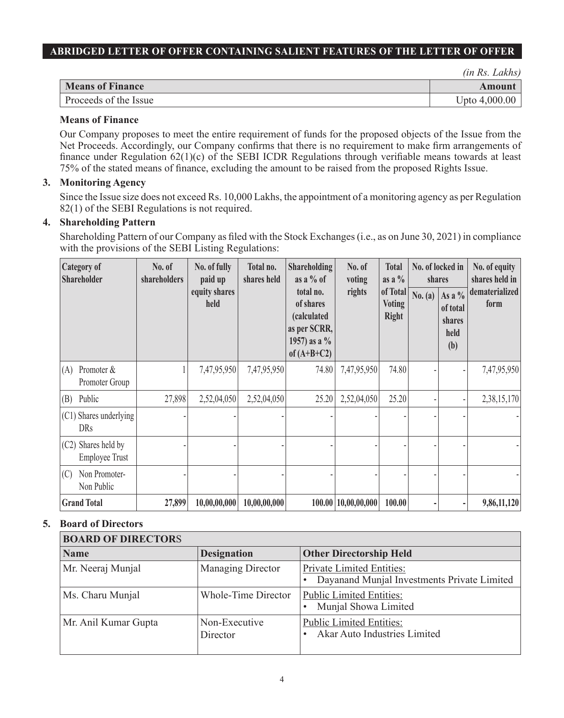*(in Rs. Lakhs)*

| <b>Means of Finance</b> |                     |
|-------------------------|---------------------|
| Proceeds of the Issue   | 4,000.00<br>Upto 4. |

## **Means of Finance**

Our Company proposes to meet the entire requirement of funds for the proposed objects of the Issue from the Net Proceeds. Accordingly, our Company confirms that there is no requirement to make firm arrangements of finance under Regulation 62(1)(c) of the SEBI ICDR Regulations through verifiable means towards at least 75% of the stated means of finance, excluding the amount to be raised from the proposed Rights Issue.

## **3. Monitoring Agency**

Since the Issue size does not exceed Rs. 10,000 Lakhs, the appointment of a monitoring agency as per Regulation 82(1) of the SEBI Regulations is not required.

## **4. Shareholding Pattern**

Shareholding Pattern of our Company as filed with the Stock Exchanges (i.e., as on June 30, 2021) in compliance with the provisions of the SEBI Listing Regulations:

| <b>Category of</b><br><b>Shareholder</b>     | No. of<br>shareholders | No. of fully<br>paid up | Total no.<br>shares held | <b>Shareholding</b><br>as a $%$ of                                                        | No. of<br>voting    | <b>Total</b><br>as a $\%$                 | shares  | No. of locked in                              | No. of equity<br>shares held in |
|----------------------------------------------|------------------------|-------------------------|--------------------------|-------------------------------------------------------------------------------------------|---------------------|-------------------------------------------|---------|-----------------------------------------------|---------------------------------|
|                                              |                        | equity shares<br>held   |                          | total no.<br>of shares<br>(calculated<br>as per SCRR,<br>1957) as a $\%$<br>of $(A+B+C2)$ | rights              | of Total<br><b>Voting</b><br><b>Right</b> | No. (a) | As a $%$<br>of total<br>shares<br>held<br>(b) | dematerialized<br>form          |
| Promoter &<br>(A)<br>Promoter Group          |                        | 7,47,95,950             | 7,47,95,950              | 74.80                                                                                     | 7,47,95,950         | 74.80                                     |         |                                               | 7,47,95,950                     |
| Public<br>(B)                                | 27,898                 | 2,52,04,050             | 2,52,04,050              | 25.20                                                                                     | 2,52,04,050         | 25.20                                     |         |                                               | 2,38,15,170                     |
| (C1) Shares underlying<br><b>DRs</b>         |                        |                         |                          |                                                                                           |                     |                                           |         |                                               |                                 |
| (C2) Shares held by<br><b>Employee Trust</b> |                        |                         |                          |                                                                                           |                     |                                           |         |                                               |                                 |
| Non Promoter-<br>(C)<br>Non Public           |                        |                         |                          |                                                                                           |                     |                                           |         |                                               |                                 |
| <b>Grand Total</b>                           | 27,899                 | 10,00,00,000            | 10,00,00,000             |                                                                                           | 100.00 10,00,00,000 | 100.00                                    |         |                                               | 9,86,11,120                     |

## **5. Board of Directors**

| <b>BOARD OF DIRECTORS</b> |                           |                                                                                 |  |  |
|---------------------------|---------------------------|---------------------------------------------------------------------------------|--|--|
| <b>Name</b>               | <b>Designation</b>        | <b>Other Directorship Held</b>                                                  |  |  |
| Mr. Neeraj Munjal         | Managing Director         | <b>Private Limited Entities:</b><br>Dayanand Munjal Investments Private Limited |  |  |
| Ms. Charu Munjal          | Whole-Time Director       | <b>Public Limited Entities:</b><br>Munjal Showa Limited                         |  |  |
| Mr. Anil Kumar Gupta      | Non-Executive<br>Director | <b>Public Limited Entities:</b><br>Akar Auto Industries Limited                 |  |  |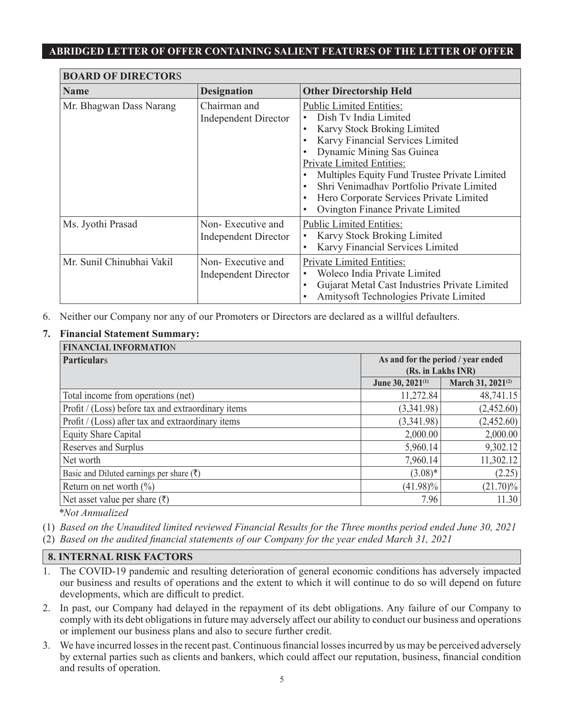| <b>BOARD OF DIRECTORS</b> |                                                  |                                                                                                                                                                                                                                                                                                                                                                                              |  |  |
|---------------------------|--------------------------------------------------|----------------------------------------------------------------------------------------------------------------------------------------------------------------------------------------------------------------------------------------------------------------------------------------------------------------------------------------------------------------------------------------------|--|--|
| <b>Name</b>               | <b>Designation</b>                               | <b>Other Directorship Held</b>                                                                                                                                                                                                                                                                                                                                                               |  |  |
| Mr. Bhagwan Dass Narang   | Chairman and<br><b>Independent Director</b>      | <b>Public Limited Entities:</b><br>Dish Tv India Limited<br>Karvy Stock Broking Limited<br>Karvy Financial Services Limited<br>Dynamic Mining Sas Guinea<br>Private Limited Entities:<br>Multiples Equity Fund Trustee Private Limited<br>Shri Venimadhav Portfolio Private Limited<br>Hero Corporate Services Private Limited<br>$\bullet$<br>Ovington Finance Private Limited<br>$\bullet$ |  |  |
| Ms. Jyothi Prasad         | Non-Executive and<br><b>Independent Director</b> | <b>Public Limited Entities:</b><br>Karvy Stock Broking Limited<br>Karvy Financial Services Limited<br>$\bullet$                                                                                                                                                                                                                                                                              |  |  |
| Mr. Sunil Chinubhai Vakil | Non-Executive and<br><b>Independent Director</b> | <b>Private Limited Entities:</b><br>Woleco India Private Limited<br>Gujarat Metal Cast Industries Private Limited<br>$\bullet$<br>Amitysoft Technologies Private Limited                                                                                                                                                                                                                     |  |  |

6. Neither our Company nor any of our Promoters or Directors are declared as a willful defaulters.

#### **7. Financial Statement Summary:**

| <b>FINANCIAL INFORMATION</b>                         |                                    |                               |  |
|------------------------------------------------------|------------------------------------|-------------------------------|--|
| <b>Particulars</b>                                   | As and for the period / year ended |                               |  |
|                                                      | (Rs. in Lakhs INR)                 |                               |  |
|                                                      | June 30, 2021 <sup>(1)</sup>       | March 31, 2021 <sup>(2)</sup> |  |
| Total income from operations (net)                   | 11,272.84                          | 48,741.15                     |  |
| Profit / (Loss) before tax and extraordinary items   | (3,341.98)                         | (2,452.60)                    |  |
| Profit / (Loss) after tax and extraordinary items    | (3,341.98)                         | (2,452.60)                    |  |
| Equity Share Capital                                 | 2,000.00                           | 2,000.00                      |  |
| Reserves and Surplus                                 | 5,960.14                           | 9,302.12                      |  |
| Net worth                                            | 7,960.14                           | 11,302.12                     |  |
| Basic and Diluted earnings per share $(\bar{\zeta})$ | $(3.08)*$                          | (2.25)                        |  |
| Return on net worth $(\% )$                          | $(41.98)\%$                        | $(21.70)\%$                   |  |
| Net asset value per share $(\bar{\tau})$             | 7.96                               | 11.30                         |  |

*\*Not Annualized*

- (1) *Based on the Unaudited limited reviewed Financial Results for the Three months period ended June 30, 2021*
- (2) *Based on the audited financial statements of our Company for the year ended March 31, 2021*

## **8. INTERNAL RISK FACTORS**

- 1. The COVID-19 pandemic and resulting deterioration of general economic conditions has adversely impacted our business and results of operations and the extent to which it will continue to do so will depend on future developments, which are difficult to predict.
- 2. In past, our Company had delayed in the repayment of its debt obligations. Any failure of our Company to comply with its debt obligations in future may adversely affect our ability to conduct our business and operations or implement our business plans and also to secure further credit.
- 3. We have incurred losses in the recent past. Continuous financial losses incurred by us may be perceived adversely by external parties such as clients and bankers, which could affect our reputation, business, financial condition and results of operation.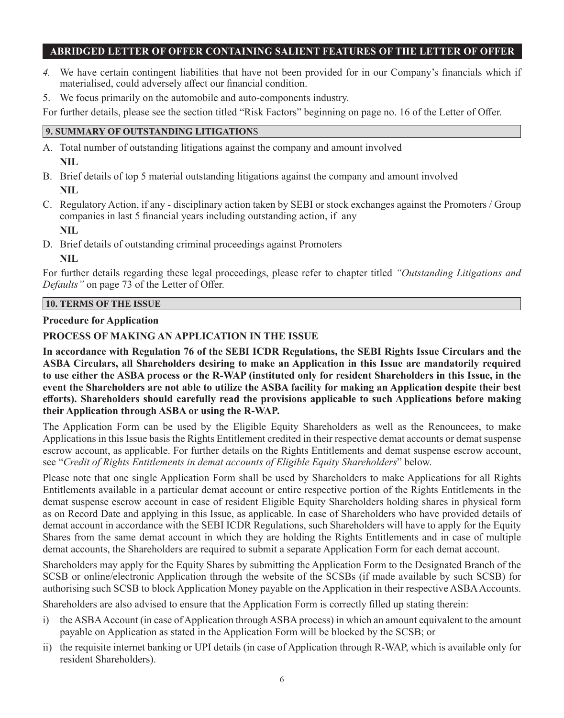- *4.* We have certain contingent liabilities that have not been provided for in our Company's financials which if materialised, could adversely affect our financial condition.
- 5. We focus primarily on the automobile and auto-components industry.

For further details, please see the section titled "Risk Factors" beginning on page no. 16 of the Letter of Offer.

#### **9. SUMMARY OF OUTSTANDING LITIGATION**S

- A. Total number of outstanding litigations against the company and amount involved **NIL**
- B. Brief details of top 5 material outstanding litigations against the company and amount involved **NIL**
- C. Regulatory Action, if any disciplinary action taken by SEBI or stock exchanges against the Promoters / Group companies in last 5 financial years including outstanding action, if any **NIL**
- D. Brief details of outstanding criminal proceedings against Promoters

**NIL** 

For further details regarding these legal proceedings, please refer to chapter titled *"Outstanding Litigations and Defaults"* on page 73 of the Letter of Offer.

#### **10. TERMS OF THE ISSUE**

#### **Procedure for Application**

## **PROCESS OF MAKING AN APPLICATION IN THE ISSUE**

**In accordance with Regulation 76 of the SEBI ICDR Regulations, the SEBI Rights Issue Circulars and the ASBA Circulars, all Shareholders desiring to make an Application in this Issue are mandatorily required to use either the ASBA process or the R-WAP (instituted only for resident Shareholders in this Issue, in the event the Shareholders are not able to utilize the ASBA facility for making an Application despite their best efforts). Shareholders should carefully read the provisions applicable to such Applications before making their Application through ASBA or using the R-WAP.** 

The Application Form can be used by the Eligible Equity Shareholders as well as the Renouncees, to make Applications in this Issue basis the Rights Entitlement credited in their respective demat accounts or demat suspense escrow account, as applicable. For further details on the Rights Entitlements and demat suspense escrow account, see "*Credit of Rights Entitlements in demat accounts of Eligible Equity Shareholders*" below.

Please note that one single Application Form shall be used by Shareholders to make Applications for all Rights Entitlements available in a particular demat account or entire respective portion of the Rights Entitlements in the demat suspense escrow account in case of resident Eligible Equity Shareholders holding shares in physical form as on Record Date and applying in this Issue, as applicable. In case of Shareholders who have provided details of demat account in accordance with the SEBI ICDR Regulations, such Shareholders will have to apply for the Equity Shares from the same demat account in which they are holding the Rights Entitlements and in case of multiple demat accounts, the Shareholders are required to submit a separate Application Form for each demat account.

Shareholders may apply for the Equity Shares by submitting the Application Form to the Designated Branch of the SCSB or online/electronic Application through the website of the SCSBs (if made available by such SCSB) for authorising such SCSB to block Application Money payable on the Application in their respective ASBA Accounts.

Shareholders are also advised to ensure that the Application Form is correctly filled up stating therein:

- i) the ASBA Account (in case of Application through ASBA process) in which an amount equivalent to the amount payable on Application as stated in the Application Form will be blocked by the SCSB; or
- ii) the requisite internet banking or UPI details (in case of Application through R-WAP, which is available only for resident Shareholders).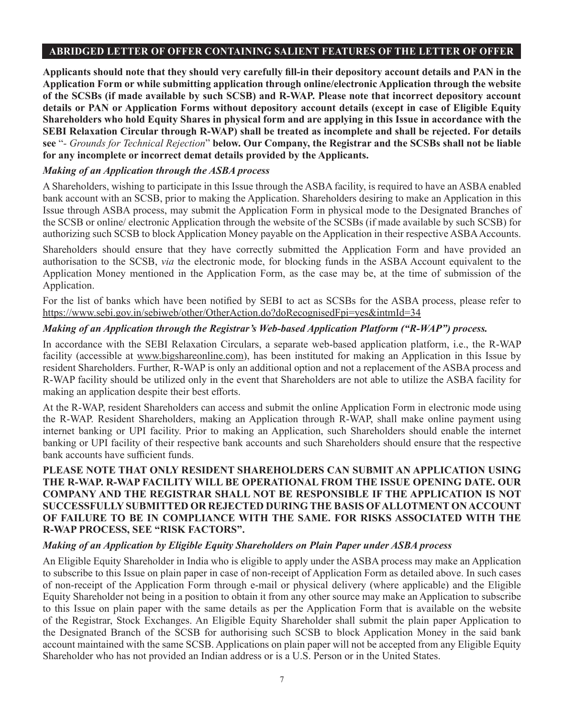**Applicants should note that they should very carefully fill-in their depository account details and PAN in the Application Form or while submitting application through online/electronic Application through the website of the SCSBs (if made available by such SCSB) and R-WAP. Please note that incorrect depository account details or PAN or Application Forms without depository account details (except in case of Eligible Equity Shareholders who hold Equity Shares in physical form and are applying in this Issue in accordance with the SEBI Relaxation Circular through R-WAP) shall be treated as incomplete and shall be rejected. For details see** "*- Grounds for Technical Rejection*" **below. Our Company, the Registrar and the SCSBs shall not be liable for any incomplete or incorrect demat details provided by the Applicants.**

#### *Making of an Application through the ASBA process*

A Shareholders, wishing to participate in this Issue through the ASBA facility, is required to have an ASBA enabled bank account with an SCSB, prior to making the Application. Shareholders desiring to make an Application in this Issue through ASBA process, may submit the Application Form in physical mode to the Designated Branches of the SCSB or online/ electronic Application through the website of the SCSBs (if made available by such SCSB) for authorizing such SCSB to block Application Money payable on the Application in their respective ASBA Accounts.

Shareholders should ensure that they have correctly submitted the Application Form and have provided an authorisation to the SCSB, *via* the electronic mode, for blocking funds in the ASBA Account equivalent to the Application Money mentioned in the Application Form, as the case may be, at the time of submission of the Application.

For the list of banks which have been notified by SEBI to act as SCSBs for the ASBA process, please refer to https://www.sebi.gov.in/sebiweb/other/OtherAction.do?doRecognisedFpi=yes&intmId=34

#### *Making of an Application through the Registrar's Web-based Application Platform ("R-WAP") process.*

In accordance with the SEBI Relaxation Circulars, a separate web-based application platform, i.e., the R-WAP facility (accessible at www.bigshareonline.com), has been instituted for making an Application in this Issue by resident Shareholders. Further, R-WAP is only an additional option and not a replacement of the ASBA process and R-WAP facility should be utilized only in the event that Shareholders are not able to utilize the ASBA facility for making an application despite their best efforts.

At the R-WAP, resident Shareholders can access and submit the online Application Form in electronic mode using the R-WAP. Resident Shareholders, making an Application through R-WAP, shall make online payment using internet banking or UPI facility. Prior to making an Application, such Shareholders should enable the internet banking or UPI facility of their respective bank accounts and such Shareholders should ensure that the respective bank accounts have sufficient funds.

## **PLEASE NOTE THAT ONLY RESIDENT SHAREHOLDERS CAN SUBMIT AN APPLICATION USING THE R-WAP. R-WAP FACILITY WILL BE OPERATIONAL FROM THE ISSUE OPENING DATE. OUR COMPANY AND THE REGISTRAR SHALL NOT BE RESPONSIBLE IF THE APPLICATION IS NOT SUCCESSFULLY SUBMITTED OR REJECTED DURING THE BASIS OF ALLOTMENT ON ACCOUNT OF FAILURE TO BE IN COMPLIANCE WITH THE SAME. FOR RISKS ASSOCIATED WITH THE R-WAP PROCESS, SEE "RISK FACTORS".**

## *Making of an Application by Eligible Equity Shareholders on Plain Paper under ASBA process*

An Eligible Equity Shareholder in India who is eligible to apply under the ASBA process may make an Application to subscribe to this Issue on plain paper in case of non-receipt of Application Form as detailed above. In such cases of non-receipt of the Application Form through e-mail or physical delivery (where applicable) and the Eligible Equity Shareholder not being in a position to obtain it from any other source may make an Application to subscribe to this Issue on plain paper with the same details as per the Application Form that is available on the website of the Registrar, Stock Exchanges. An Eligible Equity Shareholder shall submit the plain paper Application to the Designated Branch of the SCSB for authorising such SCSB to block Application Money in the said bank account maintained with the same SCSB. Applications on plain paper will not be accepted from any Eligible Equity Shareholder who has not provided an Indian address or is a U.S. Person or in the United States.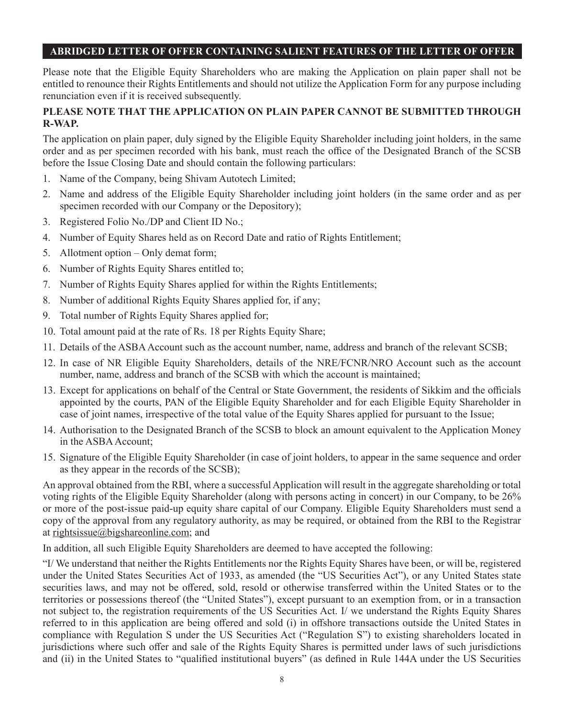Please note that the Eligible Equity Shareholders who are making the Application on plain paper shall not be entitled to renounce their Rights Entitlements and should not utilize the Application Form for any purpose including renunciation even if it is received subsequently.

### **PLEASE NOTE THAT THE APPLICATION ON PLAIN PAPER CANNOT BE SUBMITTED THROUGH R-WAP.**

The application on plain paper, duly signed by the Eligible Equity Shareholder including joint holders, in the same order and as per specimen recorded with his bank, must reach the office of the Designated Branch of the SCSB before the Issue Closing Date and should contain the following particulars:

- 1. Name of the Company, being Shivam Autotech Limited;
- 2. Name and address of the Eligible Equity Shareholder including joint holders (in the same order and as per specimen recorded with our Company or the Depository);
- 3. Registered Folio No./DP and Client ID No.;
- 4. Number of Equity Shares held as on Record Date and ratio of Rights Entitlement;
- 5. Allotment option Only demat form;
- 6. Number of Rights Equity Shares entitled to;
- 7. Number of Rights Equity Shares applied for within the Rights Entitlements;
- 8. Number of additional Rights Equity Shares applied for, if any;
- 9. Total number of Rights Equity Shares applied for;
- 10. Total amount paid at the rate of Rs. 18 per Rights Equity Share;
- 11. Details of the ASBA Account such as the account number, name, address and branch of the relevant SCSB;
- 12. In case of NR Eligible Equity Shareholders, details of the NRE/FCNR/NRO Account such as the account number, name, address and branch of the SCSB with which the account is maintained;
- 13. Except for applications on behalf of the Central or State Government, the residents of Sikkim and the officials appointed by the courts, PAN of the Eligible Equity Shareholder and for each Eligible Equity Shareholder in case of joint names, irrespective of the total value of the Equity Shares applied for pursuant to the Issue;
- 14. Authorisation to the Designated Branch of the SCSB to block an amount equivalent to the Application Money in the ASBA Account;
- 15. Signature of the Eligible Equity Shareholder (in case of joint holders, to appear in the same sequence and order as they appear in the records of the SCSB);

An approval obtained from the RBI, where a successful Application will result in the aggregate shareholding or total voting rights of the Eligible Equity Shareholder (along with persons acting in concert) in our Company, to be 26% or more of the post-issue paid-up equity share capital of our Company. Eligible Equity Shareholders must send a copy of the approval from any regulatory authority, as may be required, or obtained from the RBI to the Registrar at rightsissue@bigshareonline.com; and

In addition, all such Eligible Equity Shareholders are deemed to have accepted the following:

"I/ We understand that neither the Rights Entitlements nor the Rights Equity Shares have been, or will be, registered under the United States Securities Act of 1933, as amended (the "US Securities Act"), or any United States state securities laws, and may not be offered, sold, resold or otherwise transferred within the United States or to the territories or possessions thereof (the "United States"), except pursuant to an exemption from, or in a transaction not subject to, the registration requirements of the US Securities Act. I/ we understand the Rights Equity Shares referred to in this application are being offered and sold (i) in offshore transactions outside the United States in compliance with Regulation S under the US Securities Act ("Regulation S") to existing shareholders located in jurisdictions where such offer and sale of the Rights Equity Shares is permitted under laws of such jurisdictions and (ii) in the United States to "qualified institutional buyers" (as defined in Rule 144A under the US Securities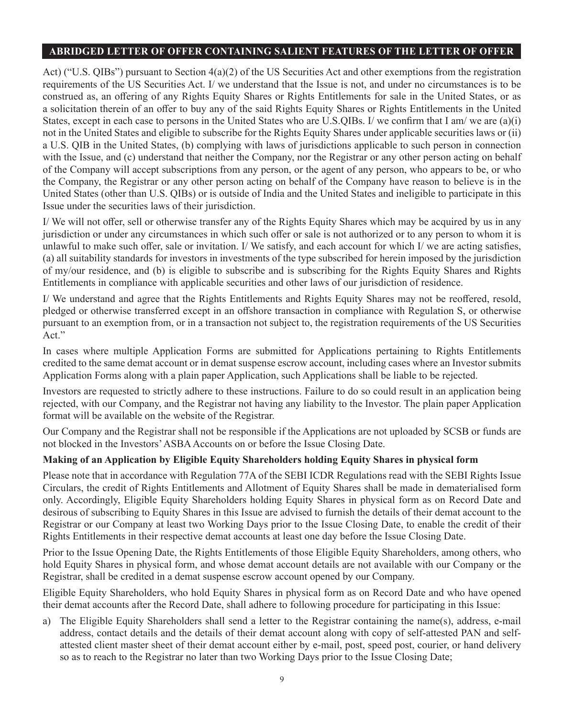Act) ("U.S. QIBs") pursuant to Section  $4(a)(2)$  of the US Securities Act and other exemptions from the registration requirements of the US Securities Act. I/ we understand that the Issue is not, and under no circumstances is to be construed as, an offering of any Rights Equity Shares or Rights Entitlements for sale in the United States, or as a solicitation therein of an offer to buy any of the said Rights Equity Shares or Rights Entitlements in the United States, except in each case to persons in the United States who are U.S.QIBs. I/ we confirm that I am/ we are (a)(i) not in the United States and eligible to subscribe for the Rights Equity Shares under applicable securities laws or (ii) a U.S. QIB in the United States, (b) complying with laws of jurisdictions applicable to such person in connection with the Issue, and (c) understand that neither the Company, nor the Registrar or any other person acting on behalf of the Company will accept subscriptions from any person, or the agent of any person, who appears to be, or who the Company, the Registrar or any other person acting on behalf of the Company have reason to believe is in the United States (other than U.S. QIBs) or is outside of India and the United States and ineligible to participate in this Issue under the securities laws of their jurisdiction.

I/ We will not offer, sell or otherwise transfer any of the Rights Equity Shares which may be acquired by us in any jurisdiction or under any circumstances in which such offer or sale is not authorized or to any person to whom it is unlawful to make such offer, sale or invitation. I/We satisfy, and each account for which I/we are acting satisfies, (a) all suitability standards for investors in investments of the type subscribed for herein imposed by the jurisdiction of my/our residence, and (b) is eligible to subscribe and is subscribing for the Rights Equity Shares and Rights Entitlements in compliance with applicable securities and other laws of our jurisdiction of residence.

I/ We understand and agree that the Rights Entitlements and Rights Equity Shares may not be reoffered, resold, pledged or otherwise transferred except in an offshore transaction in compliance with Regulation S, or otherwise pursuant to an exemption from, or in a transaction not subject to, the registration requirements of the US Securities Act."

In cases where multiple Application Forms are submitted for Applications pertaining to Rights Entitlements credited to the same demat account or in demat suspense escrow account, including cases where an Investor submits Application Forms along with a plain paper Application, such Applications shall be liable to be rejected.

Investors are requested to strictly adhere to these instructions. Failure to do so could result in an application being rejected, with our Company, and the Registrar not having any liability to the Investor. The plain paper Application format will be available on the website of the Registrar.

Our Company and the Registrar shall not be responsible if the Applications are not uploaded by SCSB or funds are not blocked in the Investors' ASBA Accounts on or before the Issue Closing Date.

## **Making of an Application by Eligible Equity Shareholders holding Equity Shares in physical form**

Please note that in accordance with Regulation 77A of the SEBI ICDR Regulations read with the SEBI Rights Issue Circulars, the credit of Rights Entitlements and Allotment of Equity Shares shall be made in dematerialised form only. Accordingly, Eligible Equity Shareholders holding Equity Shares in physical form as on Record Date and desirous of subscribing to Equity Shares in this Issue are advised to furnish the details of their demat account to the Registrar or our Company at least two Working Days prior to the Issue Closing Date, to enable the credit of their Rights Entitlements in their respective demat accounts at least one day before the Issue Closing Date.

Prior to the Issue Opening Date, the Rights Entitlements of those Eligible Equity Shareholders, among others, who hold Equity Shares in physical form, and whose demat account details are not available with our Company or the Registrar, shall be credited in a demat suspense escrow account opened by our Company.

Eligible Equity Shareholders, who hold Equity Shares in physical form as on Record Date and who have opened their demat accounts after the Record Date, shall adhere to following procedure for participating in this Issue:

a) The Eligible Equity Shareholders shall send a letter to the Registrar containing the name(s), address, e-mail address, contact details and the details of their demat account along with copy of self-attested PAN and selfattested client master sheet of their demat account either by e-mail, post, speed post, courier, or hand delivery so as to reach to the Registrar no later than two Working Days prior to the Issue Closing Date;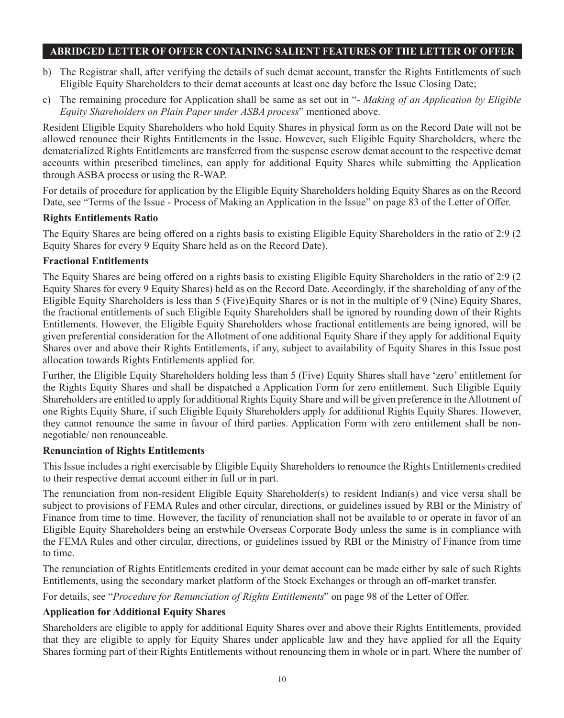- b) The Registrar shall, after verifying the details of such demat account, transfer the Rights Entitlements of such Eligible Equity Shareholders to their demat accounts at least one day before the Issue Closing Date;
- c) The remaining procedure for Application shall be same as set out in "- *Making of an Application by Eligible Equity Shareholders on Plain Paper under ASBA process*" mentioned above.

Resident Eligible Equity Shareholders who hold Equity Shares in physical form as on the Record Date will not be allowed renounce their Rights Entitlements in the Issue. However, such Eligible Equity Shareholders, where the dematerialized Rights Entitlements are transferred from the suspense escrow demat account to the respective demat accounts within prescribed timelines, can apply for additional Equity Shares while submitting the Application through ASBA process or using the R-WAP.

For details of procedure for application by the Eligible Equity Shareholders holding Equity Shares as on the Record Date, see "Terms of the Issue - Process of Making an Application in the Issue" on page 83 of the Letter of Offer.

## **Rights Entitlements Ratio**

The Equity Shares are being offered on a rights basis to existing Eligible Equity Shareholders in the ratio of 2:9 (2 Equity Shares for every 9 Equity Share held as on the Record Date).

#### **Fractional Entitlements**

The Equity Shares are being offered on a rights basis to existing Eligible Equity Shareholders in the ratio of 2:9 (2 Equity Shares for every 9 Equity Shares) held as on the Record Date. Accordingly, if the shareholding of any of the Eligible Equity Shareholders is less than 5 (Five)Equity Shares or is not in the multiple of 9 (Nine) Equity Shares, the fractional entitlements of such Eligible Equity Shareholders shall be ignored by rounding down of their Rights Entitlements. However, the Eligible Equity Shareholders whose fractional entitlements are being ignored, will be given preferential consideration for the Allotment of one additional Equity Share if they apply for additional Equity Shares over and above their Rights Entitlements, if any, subject to availability of Equity Shares in this Issue post allocation towards Rights Entitlements applied for.

Further, the Eligible Equity Shareholders holding less than 5 (Five) Equity Shares shall have 'zero' entitlement for the Rights Equity Shares and shall be dispatched a Application Form for zero entitlement. Such Eligible Equity Shareholders are entitled to apply for additional Rights Equity Share and will be given preference in the Allotment of one Rights Equity Share, if such Eligible Equity Shareholders apply for additional Rights Equity Shares. However, they cannot renounce the same in favour of third parties. Application Form with zero entitlement shall be nonnegotiable/ non renounceable.

#### **Renunciation of Rights Entitlements**

This Issue includes a right exercisable by Eligible Equity Shareholders to renounce the Rights Entitlements credited to their respective demat account either in full or in part.

The renunciation from non-resident Eligible Equity Shareholder(s) to resident Indian(s) and vice versa shall be subject to provisions of FEMA Rules and other circular, directions, or guidelines issued by RBI or the Ministry of Finance from time to time. However, the facility of renunciation shall not be available to or operate in favor of an Eligible Equity Shareholders being an erstwhile Overseas Corporate Body unless the same is in compliance with the FEMA Rules and other circular, directions, or guidelines issued by RBI or the Ministry of Finance from time to time.

The renunciation of Rights Entitlements credited in your demat account can be made either by sale of such Rights Entitlements, using the secondary market platform of the Stock Exchanges or through an off-market transfer.

For details, see "*Procedure for Renunciation of Rights Entitlements*" on page 98 of the Letter of Offer.

## **Application for Additional Equity Shares**

Shareholders are eligible to apply for additional Equity Shares over and above their Rights Entitlements, provided that they are eligible to apply for Equity Shares under applicable law and they have applied for all the Equity Shares forming part of their Rights Entitlements without renouncing them in whole or in part. Where the number of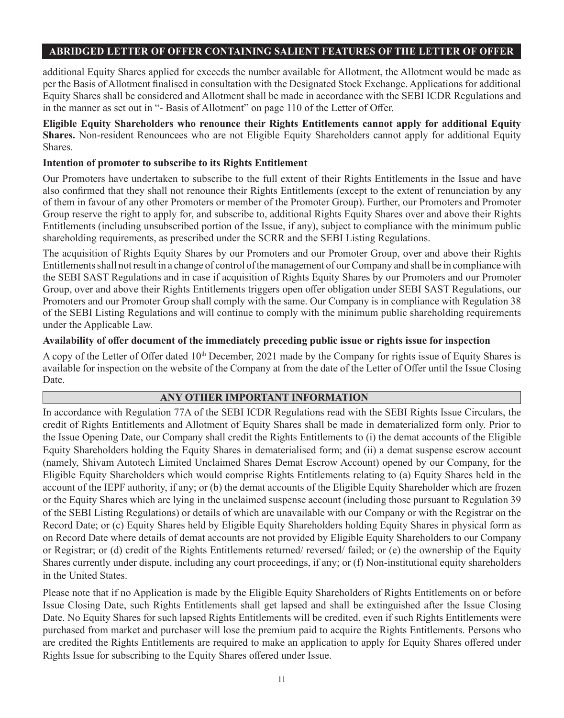additional Equity Shares applied for exceeds the number available for Allotment, the Allotment would be made as per the Basis of Allotment finalised in consultation with the Designated Stock Exchange. Applications for additional Equity Shares shall be considered and Allotment shall be made in accordance with the SEBI ICDR Regulations and in the manner as set out in "- Basis of Allotment" on page 110 of the Letter of Offer.

**Eligible Equity Shareholders who renounce their Rights Entitlements cannot apply for additional Equity Shares.** Non-resident Renouncees who are not Eligible Equity Shareholders cannot apply for additional Equity Shares.

## **Intention of promoter to subscribe to its Rights Entitlement**

Our Promoters have undertaken to subscribe to the full extent of their Rights Entitlements in the Issue and have also confirmed that they shall not renounce their Rights Entitlements (except to the extent of renunciation by any of them in favour of any other Promoters or member of the Promoter Group). Further, our Promoters and Promoter Group reserve the right to apply for, and subscribe to, additional Rights Equity Shares over and above their Rights Entitlements (including unsubscribed portion of the Issue, if any), subject to compliance with the minimum public shareholding requirements, as prescribed under the SCRR and the SEBI Listing Regulations.

The acquisition of Rights Equity Shares by our Promoters and our Promoter Group, over and above their Rights Entitlements shall not result in a change of control of the management of our Company and shall be in compliance with the SEBI SAST Regulations and in case if acquisition of Rights Equity Shares by our Promoters and our Promoter Group, over and above their Rights Entitlements triggers open offer obligation under SEBI SAST Regulations, our Promoters and our Promoter Group shall comply with the same. Our Company is in compliance with Regulation 38 of the SEBI Listing Regulations and will continue to comply with the minimum public shareholding requirements under the Applicable Law.

#### **Availability of offer document of the immediately preceding public issue or rights issue for inspection**

A copy of the Letter of Offer dated  $10<sup>th</sup>$  December, 2021 made by the Company for rights issue of Equity Shares is available for inspection on the website of the Company at from the date of the Letter of Offer until the Issue Closing Date.

## **ANY OTHER IMPORTANT INFORMATION**

In accordance with Regulation 77A of the SEBI ICDR Regulations read with the SEBI Rights Issue Circulars, the credit of Rights Entitlements and Allotment of Equity Shares shall be made in dematerialized form only. Prior to the Issue Opening Date, our Company shall credit the Rights Entitlements to (i) the demat accounts of the Eligible Equity Shareholders holding the Equity Shares in dematerialised form; and (ii) a demat suspense escrow account (namely, Shivam Autotech Limited Unclaimed Shares Demat Escrow Account) opened by our Company, for the Eligible Equity Shareholders which would comprise Rights Entitlements relating to (a) Equity Shares held in the account of the IEPF authority, if any; or (b) the demat accounts of the Eligible Equity Shareholder which are frozen or the Equity Shares which are lying in the unclaimed suspense account (including those pursuant to Regulation 39 of the SEBI Listing Regulations) or details of which are unavailable with our Company or with the Registrar on the Record Date; or (c) Equity Shares held by Eligible Equity Shareholders holding Equity Shares in physical form as on Record Date where details of demat accounts are not provided by Eligible Equity Shareholders to our Company or Registrar; or (d) credit of the Rights Entitlements returned/ reversed/ failed; or (e) the ownership of the Equity Shares currently under dispute, including any court proceedings, if any; or (f) Non-institutional equity shareholders in the United States.

Please note that if no Application is made by the Eligible Equity Shareholders of Rights Entitlements on or before Issue Closing Date, such Rights Entitlements shall get lapsed and shall be extinguished after the Issue Closing Date. No Equity Shares for such lapsed Rights Entitlements will be credited, even if such Rights Entitlements were purchased from market and purchaser will lose the premium paid to acquire the Rights Entitlements. Persons who are credited the Rights Entitlements are required to make an application to apply for Equity Shares offered under Rights Issue for subscribing to the Equity Shares offered under Issue.